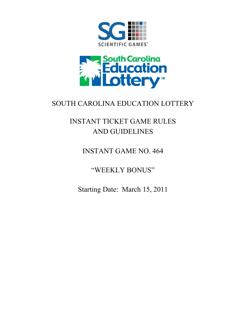



## SOUTH CAROLINA EDUCATION LOTTERY

# INSTANT TICKET GAME RULES AND GUIDELINES

### INSTANT GAME NO. 464

"WEEKLY BONUS"

Starting Date: March 15, 2011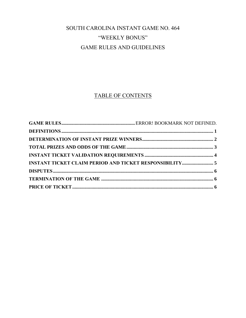### SOUTH CAROLINA INSTANT GAME NO. 464 "WEEKLY BONUS" GAME RULES AND GUIDELINES

### TABLE OF CONTENTS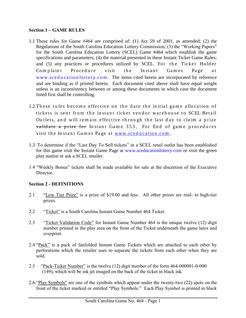#### **Section 1 – GAME RULES**

- 1.1 These rules for Game #464 are comprised of: (1) Act 59 of 2001, as amended; (2) the Regulations of the South Carolina Education Lottery Commission; (3) the "Working Papers" for the South Carolina Education Lottery (SCEL) Game #464 which establish the game specifications and parameters; (4) the material presented in these Instant Ticket Game Rules; and (5) any practices or procedures utilized by SCEL. For the Ticket Holder Complaint Procedure visit the Instant Games Page at www.sceducation lottery.com. The items cited herein are incorporated by reference and are binding as if printed herein. Each document cited above shall have equal weight unless is an inconsistency between or among these documents in which case the document listed first shall be controlling.
- 1.2 These rules become effective on the date the initial game allocation of tickets is sent from the instant ticket vendor warehouse to SCEL Retail Outlets, and will remain effective through the last day to claim a prize validate a prize for Instant Game 353. For End of game procedures visit the Instant Games Page at www.sceducation.com.
- 1.3 To determine if the "Last Day To Sell tickets" in a SCEL retail outlet has been established for this game visit the Instant Game Page at [www.sceducationlottery.com](http://www.sceducationlottery.com/) or visit the green play station or ask a SCEL retailer.
- 1.4 "Weekly Bonus" tickets shall be made available for sale at the discretion of the Executive Director.

#### <span id="page-2-0"></span>**Section 2 - DEFINITIONS**

- 2.1 "Low Tier Prize" is a prize of \$19.00 and less. All other prizes are mid- to high-tier prizes.
- 2.2 "Ticket" is a South Carolina Instant Game Number 464 Ticket.
- 2.3 "Ticket Validation Code" for Instant Game Number 464 is the unique twelve (12) digit number printed in the play area on the front of the Ticket underneath the game latex and overprint.
- 2.4 "Pack" is a pack of fanfolded Instant Game Tickets which are attached to each other by perforations which the retailer uses to separate the tickets from each other when they are sold.
- 2.5 "Pack-Ticket Number" is the twelve (12) digit number of the form 464-000001-0-000 (149), which will be ink jet imaged on the back of the ticket in black ink.
- 2.6."Play Symbols" are one of the symbols which appear under the twenty-two (22) spots on the front of the ticket marked or entitled "Play Symbols." Each Play Symbol is printed in black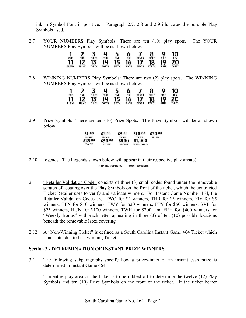ink in Symbol Font in positive. Paragraph 2.7, 2.8 and 2.9 illustrates the possible Play Symbols used.

2.7 YOUR NUMBERS Play Symbols: There are ten (10) play spots. The YOUR NUMBERS Play Symbols will be as shown below.



2.8 WINNING NUMBERS Play Symbols: There are two (2) play spots. The WINNING NUMBERS Play Symbols will be as shown below.

| ONE          | <b>TWO</b>   | <b>HREE</b> | <b>FOUR</b> | <b>FIVE</b>  | SIX          | <b>SEVEN</b> | <b>EIGHT</b> | <b>NINE</b>  | <b>TEN</b>   |
|--------------|--------------|-------------|-------------|--------------|--------------|--------------|--------------|--------------|--------------|
|              |              | IJ          | 14          |              | 16           |              | 18           | 19           | 20           |
| <b>ELEVN</b> | <b>THLVE</b> | <b>HRTN</b> | FORTN       | <b>FIFTN</b> | <b>SIXTN</b> | <b>SVNTN</b> | <b>EGHTN</b> | <b>NINTN</b> | <b>THNTY</b> |

2.9 Prize Symbols: There are ten (10) Prize Spots. The Prize Symbols will be as shown below.

| \$1.00         | \$2.00  | \$5,00         | \$10.00       | \$20.00        |
|----------------|---------|----------------|---------------|----------------|
| <b>ONE DOL</b> | TWO DOL | FIV DOL        | TEN DOL       | <b>THY DOL</b> |
| \$25.00        | \$50.00 | \$400          | \$1,000       |                |
| <b>THY FIV</b> | FTY DOL | <b>FOR HUN</b> | \$1,000/WK/YR |                |

- 2.10 Legends: The Legends shown below will appear in their respective play area(s). **WINNING NUMBERS** YOUR NUMBERS
- 2.11 "Retailer Validation Code" consists of three (3) small codes found under the removable scratch off coating over the Play Symbols on the front of the ticket, which the contracted Ticket Retailer uses to verify and validate winners. For Instant Game Number 464, the Retailer Validation Codes are: TWO for \$2 winners, THR for \$3 winners, FIV for \$5 winners, TEN for \$10 winners, TWY for \$20 winners, FTY for \$50 winners, SVF for \$75 winners, HUN for \$100 winners, TWH for \$200, and FRH for \$400 winners for "Weekly Bonus" with each letter appearing in three (3) of ten (10) possible locations beneath the removable latex covering.
- 2.12 A "Non-Winning Ticket" is defined as a South Carolina Instant Game 464 Ticket which is not intended to be a winning Ticket.

#### **Section 3 - DETERMINATION OF INSTANT PRIZE WINNERS**

3.1 The following subparagraphs specify how a prizewinner of an instant cash prize is determined in Instant Game 464.

<span id="page-3-0"></span>The entire play area on the ticket is to be rubbed off to determine the twelve (12) Play Symbols and ten (10) Prize Symbols on the front of the ticket. If the ticket bearer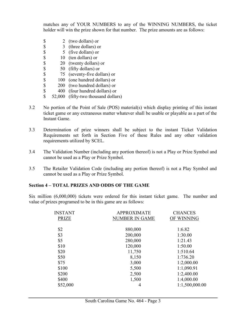matches any of YOUR NUMBERS to any of the WINNING NUMBERS, the ticket holder will win the prize shown for that number. The prize amounts are as follows:

- \$ 2 (two dollars) or
- $\begin{array}{cc} $ \text{\$} & 3 \text{ (three dollars) or} \\ $ \text{\$} & 5 \text{ (five dollars) or} \end{array}$
- $\begin{array}{cc} $ \text{\$} & 5 \text{\(} \text{five dollars)} \text{ or} \\ $ \text{\$} & 10 \text{\(} \text{ten dollars)} \text{ or} \end{array}$
- 10 (ten dollars) or
- \$ 20 (twenty dollars) or
- \$ 50 (fifty dollars) or<br>\$ 75 (seventy-five dol
- \$ 75 (seventy-five dollars) or<br>\$ 100 (one hundred dollars) or
- $\begin{array}{cc} $ & 100 \text{ (one hundred dollars)} \text{ or} \\ $ & 200 \text{ (two hundred dollars)} \text{ or} \end{array}$
- 200 (two hundred dollars) or
- \$ 400 (four hundred dollars) or
- \$ 52,000 (fifty-two thousand dollars)
- 3.2 No portion of the Point of Sale (POS) material(s) which display printing of this instant ticket game or any extraneous matter whatever shall be usable or playable as a part of the Instant Game.
- 3.3 Determination of prize winners shall be subject to the instant Ticket Validation Requirements set forth in Section Five of these Rules and any other validation requirements utilized by SCEL.
- 3.4 The Validation Number (including any portion thereof) is not a Play or Prize Symbol and cannot be used as a Play or Prize Symbol.
- 3.5 The Retailer Validation Code (including any portion thereof) is not a Play Symbol and cannot be used as a Play or Prize Symbol.

#### **Section 4 – TOTAL PRIZES AND ODDS OF THE GAME**

Six million (6,000,000) tickets were ordered for this instant ticket game. The number and value of prizes programed to be in this game are as follows:

<span id="page-4-0"></span>

| <b>INSTANT</b> | <b>APPROXIMATE</b>    | <b>CHANCES</b> |
|----------------|-----------------------|----------------|
| <b>PRIZE</b>   | <b>NUMBER IN GAME</b> | OF WINNING     |
| \$2            | 880,000               | 1:6.82         |
| \$3            | 200,000               | 1:30.00        |
| \$5            | 280,000               | 1:21.43        |
| \$10           | 120,000               | 1:50.00        |
| \$20           | 11,750                | 1:510.64       |
| \$50           | 8,150                 | 1:736.20       |
| \$75           | 3,000                 | 1:2,000.00     |
| \$100          | 5,500                 | 1:1,090.91     |
| \$200          | 2,500                 | 1:2,400.00     |
| \$400          | 1,500                 | 1:4,000.00     |
| \$52,000       | 4                     | 1:1,500,000.00 |
|                |                       |                |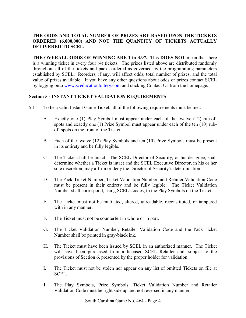#### **THE ODDS AND TOTAL NUMBER OF PRIZES ARE BASED UPON THE TICKETS ORDERED (6,000,000) AND NOT THE QUANTITY OF TICKETS ACTUALLY DELIVERED TO SCEL.**

**THE OVERALL ODDS OF WINNING ARE 1 in 3.97.** This **DOES NOT** mean that there is a winning ticket in every four (4) tickets. The prizes listed above are distributed randomly throughout all of the tickets and packs ordered as governed by the programming parameters established by SCEL. Reorders, if any, will affect odds, total number of prizes, and the total value of prizes available. If you have any other questions about odds or prizes contact SCEL by logging onto [www.sceducationlottery.com](http://www.sceducationlottery.com/) and clicking Contact Us from the homepage.

#### <span id="page-5-0"></span>**Section 5 - INSTANT TICKET VALIDATION REQUIREMENTS**

- 5.1 To be a valid Instant Game Ticket, all of the following requirements must be met:
	- A. Exactly one (1) Play Symbol must appear under each of the twelve (12) rub-off spots and exactly one (1) Prize Symbol must appear under each of the ten (10) ruboff spots on the front of the Ticket.
	- B. Each of the twelve (12) Play Symbols and ten (10) Prize Symbols must be present in its entirety and be fully legible.
	- C The Ticket shall be intact. The SCEL Director of Security, or his designee, shall determine whether a Ticket is intact and the SCEL Executive Director, in his or her sole discretion, may affirm or deny the Director of Security's determination.
	- D. The Pack-Ticket Number, Ticket Validation Number, and Retailer Validation Code must be present in their entirety and be fully legible. The Ticket Validation Number shall correspond, using SCEL's codes, to the Play Symbols on the Ticket.
	- E. The Ticket must not be mutilated, altered, unreadable, reconstituted, or tampered with in any manner.
	- F. The Ticket must not be counterfeit in whole or in part.
	- G. The Ticket Validation Number, Retailer Validation Code and the Pack-Ticket Number shall be printed in gray-black ink.
	- H. The Ticket must have been issued by SCEL in an authorized manner. The Ticket will have been purchased from a licensed SCEL Retailer and, subject to the provisions of Section 6, presented by the proper holder for validation.
	- I. The Ticket must not be stolen nor appear on any list of omitted Tickets on file at SCEL.
	- J. The Play Symbols, Prize Symbols, Ticket Validation Number and Retailer Validation Code must be right side up and not reversed in any manner.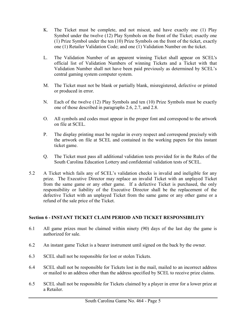- K. The Ticket must be complete, and not miscut, and have exactly one (1) Play Symbol under the twelve (12) Play Symbols on the front of the Ticket; exactly one (1) Prize Symbol under the ten (10) Prize Symbols on the front of the ticket, exactly one (1) Retailer Validation Code; and one (1) Validation Number on the ticket.
- L. The Validation Number of an apparent winning Ticket shall appear on SCEL's official list of Validation Numbers of winning Tickets and a Ticket with that Validation Number shall not have been paid previously as determined by SCEL's central gaming system computer system.
- M. The Ticket must not be blank or partially blank, misregistered, defective or printed or produced in error.
- N. Each of the twelve (12) Play Symbols and ten (10) Prize Symbols must be exactly one of those described in paragraphs 2.6, 2.7, and 2.8.
- O. All symbols and codes must appear in the proper font and correspond to the artwork on file at SCEL.
- P. The display printing must be regular in every respect and correspond precisely with the artwork on file at SCEL and contained in the working papers for this instant ticket game.
- <span id="page-6-0"></span>Q. The Ticket must pass all additional validation tests provided for in the Rules of the South Carolina Education Lottery and confidential validation tests of SCEL.
- 5.2 A Ticket which fails any of SCEL's validation checks is invalid and ineligible for any prize. The Executive Director may replace an invalid Ticket with an unplayed Ticket from the same game or any other game. If a defective Ticket is purchased, the only responsibility or liability of the Executive Director shall be the replacement of the defective Ticket with an unplayed Ticket from the same game or any other game or a refund of the sale price of the Ticket.

#### **Section 6 - INSTANT TICKET CLAIM PERIOD AND TICKET RESPONSIBILITY**

- 6.1 All game prizes must be claimed within ninety (90) days of the last day the game is authorized for sale.
- 6.2 An instant game Ticket is a bearer instrument until signed on the back by the owner.
- 6.3 SCEL shall not be responsible for lost or stolen Tickets.
- 6.4 SCEL shall not be responsible for Tickets lost in the mail, mailed to an incorrect address or mailed to an address other than the address specified by SCEL to receive prize claims.
- 6.5 SCEL shall not be responsible for Tickets claimed by a player in error for a lower prize at a Retailer.